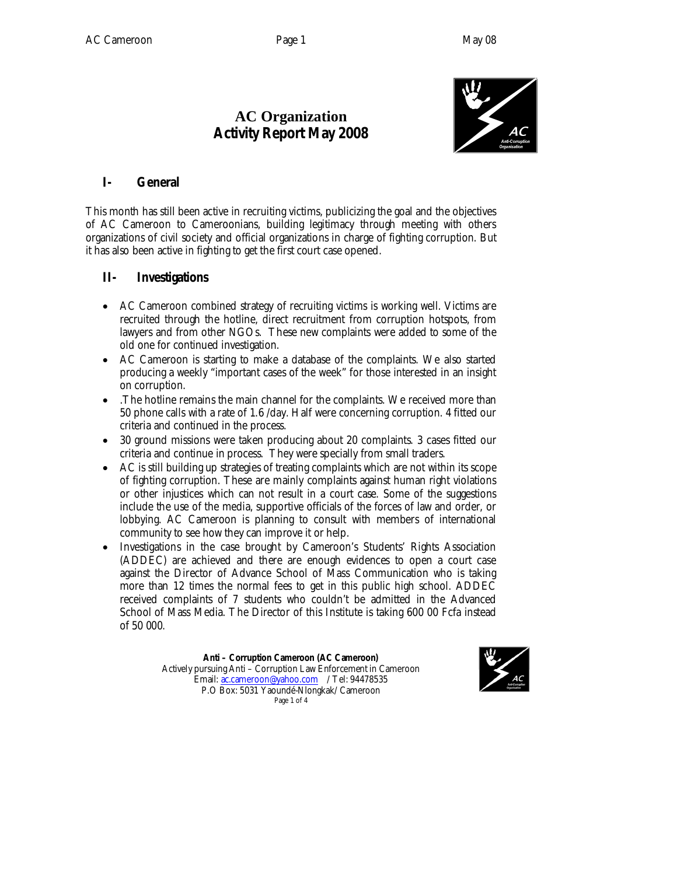# **AC Organization Activity Report May 2008**



### **I- General**

This month has still been active in recruiting victims, publicizing the goal and the objectives of AC Cameroon to Cameroonians, building legitimacy through meeting with others organizations of civil society and official organizations in charge of fighting corruption. But it has also been active in fighting to get the first court case opened.

#### **II- Investigations**

- AC Cameroon combined strategy of recruiting victims is working well. Victims are recruited through the hotline, direct recruitment from corruption hotspots, from lawyers and from other NGOs. These new complaints were added to some of the old one for continued investigation.
- AC Cameroon is starting to make a database of the complaints. We also started producing a weekly "important cases of the week" for those interested in an insight on corruption.
- .The hotline remains the main channel for the complaints. We received more than 50 phone calls with a rate of 1.6 /day. Half were concerning corruption. 4 fitted our criteria and continued in the process.
- 30 ground missions were taken producing about 20 complaints. 3 cases fitted our criteria and continue in process. They were specially from small traders.
- AC is still building up strategies of treating complaints which are not within its scope of fighting corruption. These are mainly complaints against human right violations or other injustices which can not result in a court case. Some of the suggestions include the use of the media, supportive officials of the forces of law and order, or lobbying. AC Cameroon is planning to consult with members of international community to see how they can improve it or help.
- Investigations in the case brought by Cameroon's Students' Rights Association (ADDEC) are achieved and there are enough evidences to open a court case against the Director of Advance School of Mass Communication who is taking more than 12 times the normal fees to get in this public high school. ADDEC received complaints of 7 students who couldn't be admitted in the Advanced School of Mass Media. The Director of this Institute is taking 600 00 Fcfa instead of 50 000.

**Anti – Corruption Cameroon (AC Cameroon)** Actively pursuing Anti – Corruption Law Enforcement in Cameroon Email: ac.cameroon@yahoo.com / Tel: 94478535 P.O Box: 5031 Yaoundé-Nlongkak/ Cameroon Page 1 of 4

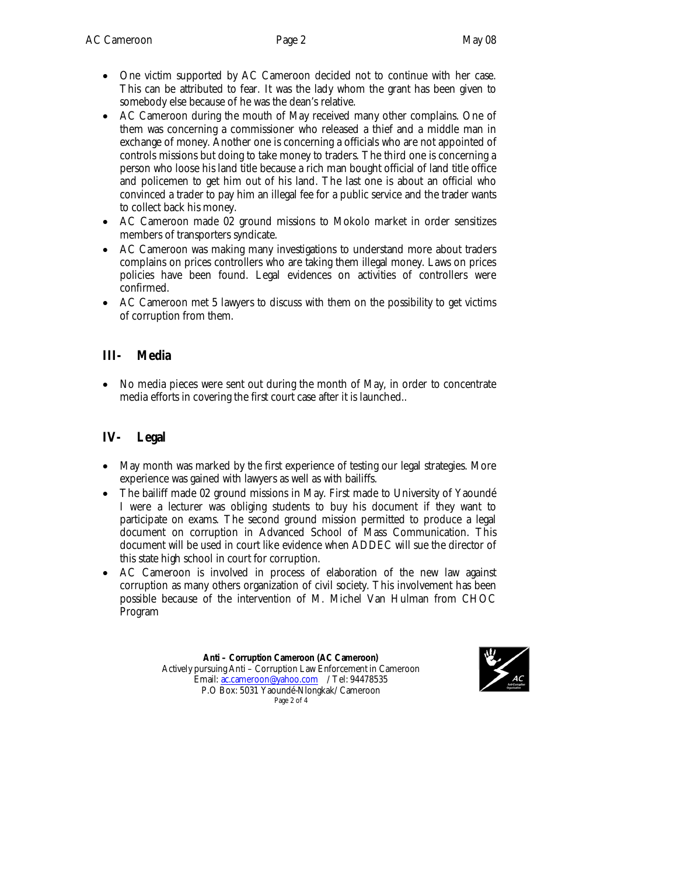- One victim supported by AC Cameroon decided not to continue with her case. This can be attributed to fear. It was the lady whom the grant has been given to somebody else because of he was the dean's relative.
- AC Cameroon during the mouth of May received many other complains. One of them was concerning a commissioner who released a thief and a middle man in exchange of money. Another one is concerning a officials who are not appointed of controls missions but doing to take money to traders. The third one is concerning a person who loose his land title because a rich man bought official of land title office and policemen to get him out of his land. The last one is about an official who convinced a trader to pay him an illegal fee for a public service and the trader wants to collect back his money.
- AC Cameroon made 02 ground missions to Mokolo market in order sensitizes members of transporters syndicate.
- AC Cameroon was making many investigations to understand more about traders complains on prices controllers who are taking them illegal money. Laws on prices policies have been found. Legal evidences on activities of controllers were confirmed.
- AC Cameroon met 5 lawyers to discuss with them on the possibility to get victims of corruption from them.

#### **III- Media**

 No media pieces were sent out during the month of May, in order to concentrate media efforts in covering the first court case after it is launched..

## **IV- Legal**

- May month was marked by the first experience of testing our legal strategies. More experience was gained with lawyers as well as with bailiffs.
- The bailiff made 02 ground missions in May. First made to University of Yaoundé I were a lecturer was obliging students to buy his document if they want to participate on exams. The second ground mission permitted to produce a legal document on corruption in Advanced School of Mass Communication. This document will be used in court like evidence when ADDEC will sue the director of this state high school in court for corruption.
- AC Cameroon is involved in process of elaboration of the new law against corruption as many others organization of civil society. This involvement has been possible because of the intervention of M. Michel Van Hulman from CHOC Program

**Anti – Corruption Cameroon (AC Cameroon)** Actively pursuing Anti – Corruption Law Enforcement in Cameroon Email: ac.cameroon@yahoo.com / Tel: 94478535 P.O Box: 5031 Yaoundé-Nlongkak/ Cameroon Page 2 of 4

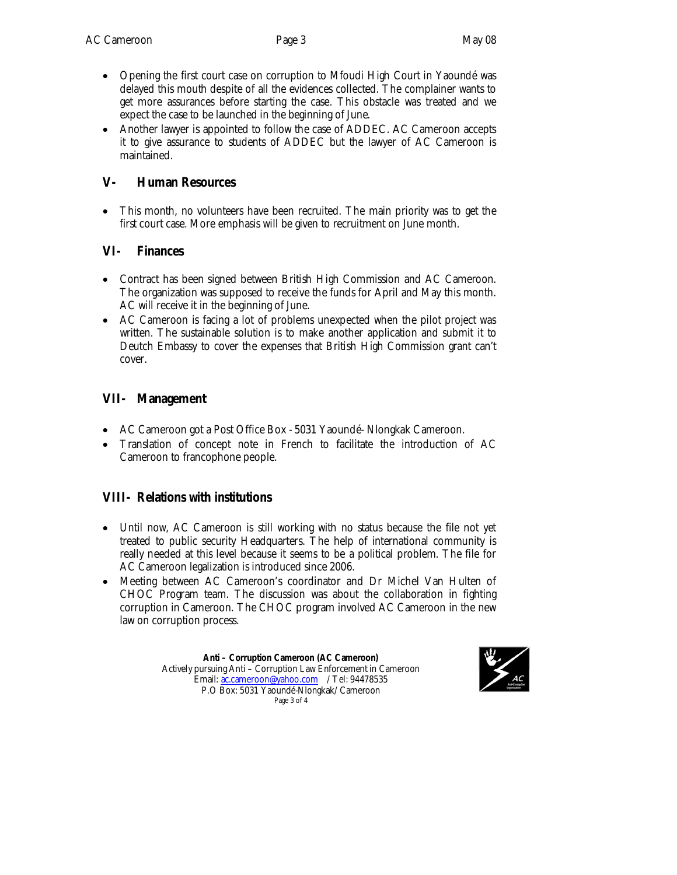- Opening the first court case on corruption to Mfoudi High Court in Yaoundé was delayed this mouth despite of all the evidences collected. The complainer wants to get more assurances before starting the case. This obstacle was treated and we expect the case to be launched in the beginning of June.
- Another lawyer is appointed to follow the case of ADDEC. AC Cameroon accepts it to give assurance to students of ADDEC but the lawyer of AC Cameroon is maintained.

#### **V- Human Resources**

 This month, no volunteers have been recruited. The main priority was to get the first court case. More emphasis will be given to recruitment on June month.

#### **VI- Finances**

- Contract has been signed between British High Commission and AC Cameroon. The organization was supposed to receive the funds for April and May this month. AC will receive it in the beginning of June.
- AC Cameroon is facing a lot of problems unexpected when the pilot project was written. The sustainable solution is to make another application and submit it to Deutch Embassy to cover the expenses that British High Commission grant can't cover.

### **VII- Management**

- AC Cameroon got a Post Office Box 5031 Yaoundé- Nlongkak Cameroon.
- Translation of concept note in French to facilitate the introduction of AC Cameroon to francophone people.

#### **VIII- Relations with institutions**

- Until now, AC Cameroon is still working with no status because the file not yet treated to public security Headquarters. The help of international community is really needed at this level because it seems to be a political problem. The file for AC Cameroon legalization is introduced since 2006.
- Meeting between AC Cameroon's coordinator and Dr Michel Van Hulten of CHOC Program team. The discussion was about the collaboration in fighting corruption in Cameroon. The CHOC program involved AC Cameroon in the new law on corruption process.

**Anti – Corruption Cameroon (AC Cameroon)** Actively pursuing Anti – Corruption Law Enforcement in Cameroon Email: ac.cameroon@yahoo.com / Tel: 94478535 P.O Box: 5031 Yaoundé-Nlongkak/ Cameroon Page 3 of 4